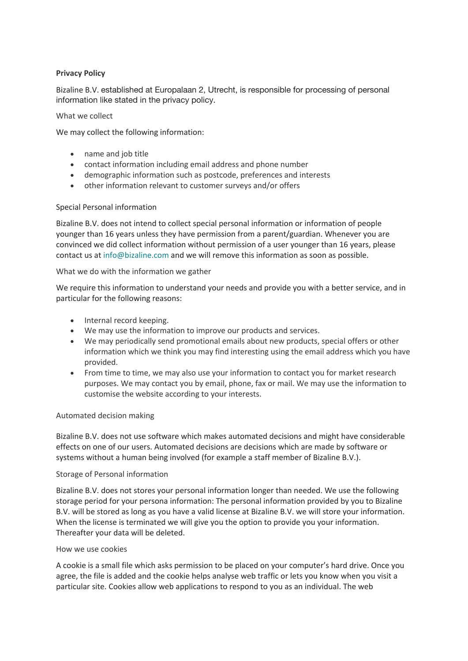# **Privacy Policy**

Bizaline B.V. established at Europalaan 2, Utrecht, is responsible for processing of personal information like stated in the privacy policy.

#### What we collect

We may collect the following information:

- name and job title
- contact information including email address and phone number
- demographic information such as postcode, preferences and interests
- other information relevant to customer surveys and/or offers

## Special Personal information

Bizaline B.V. does not intend to collect special personal information or information of people younger than 16 years unless they have permission from a parent/guardian. Whenever you are convinced we did collect information without permission of a user younger than 16 years, please contact us at info@bizaline.com and we will remove this information as soon as possible.

#### What we do with the information we gather

We require this information to understand your needs and provide you with a better service, and in particular for the following reasons:

- Internal record keeping.
- We may use the information to improve our products and services.
- We may periodically send promotional emails about new products, special offers or other information which we think you may find interesting using the email address which you have provided.
- From time to time, we may also use your information to contact you for market research purposes. We may contact you by email, phone, fax or mail. We may use the information to customise the website according to your interests.

## Automated decision making

Bizaline B.V. does not use software which makes automated decisions and might have considerable effects on one of our users. Automated decisions are decisions which are made by software or systems without a human being involved (for example a staff member of Bizaline B.V.).

## Storage of Personal information

Bizaline B.V. does not stores your personal information longer than needed. We use the following storage period for your persona information: The personal information provided by you to Bizaline B.V. will be stored as long as you have a valid license at Bizaline B.V. we will store your information. When the license is terminated we will give you the option to provide you your information. Thereafter your data will be deleted.

## How we use cookies

A cookie is a small file which asks permission to be placed on your computer's hard drive. Once you agree, the file is added and the cookie helps analyse web traffic or lets you know when you visit a particular site. Cookies allow web applications to respond to you as an individual. The web